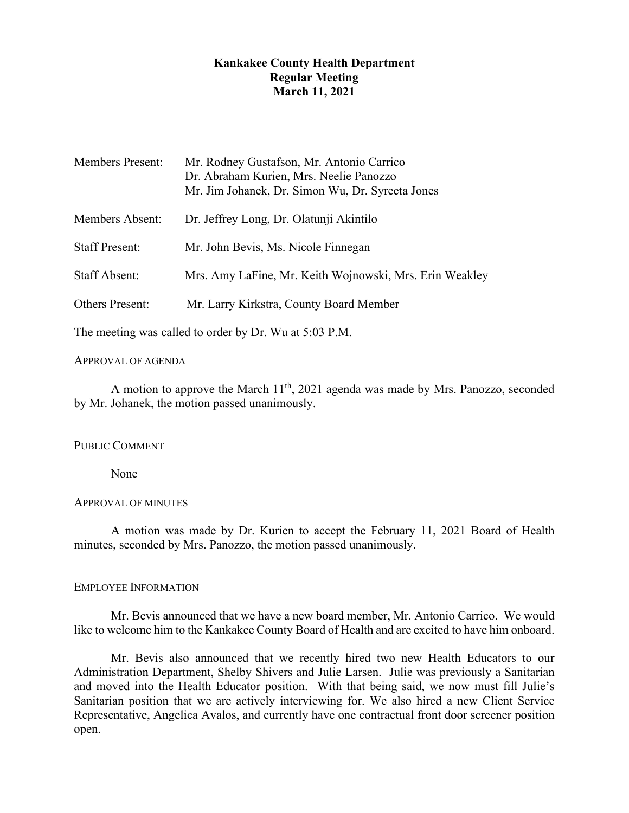# **Kankakee County Health Department Regular Meeting March 11, 2021**

| <b>Members Present:</b> | Mr. Rodney Gustafson, Mr. Antonio Carrico<br>Dr. Abraham Kurien, Mrs. Neelie Panozzo<br>Mr. Jim Johanek, Dr. Simon Wu, Dr. Syreeta Jones |
|-------------------------|------------------------------------------------------------------------------------------------------------------------------------------|
| Members Absent:         | Dr. Jeffrey Long, Dr. Olatunji Akintilo                                                                                                  |
| <b>Staff Present:</b>   | Mr. John Bevis, Ms. Nicole Finnegan                                                                                                      |
| <b>Staff Absent:</b>    | Mrs. Amy LaFine, Mr. Keith Wojnowski, Mrs. Erin Weakley                                                                                  |
| <b>Others Present:</b>  | Mr. Larry Kirkstra, County Board Member                                                                                                  |
|                         |                                                                                                                                          |

The meeting was called to order by Dr. Wu at 5:03 P.M.

# APPROVAL OF AGENDA

A motion to approve the March  $11<sup>th</sup>$ , 2021 agenda was made by Mrs. Panozzo, seconded by Mr. Johanek, the motion passed unanimously.

# PUBLIC COMMENT

None

## APPROVAL OF MINUTES

A motion was made by Dr. Kurien to accept the February 11, 2021 Board of Health minutes, seconded by Mrs. Panozzo, the motion passed unanimously.

# EMPLOYEE INFORMATION

Mr. Bevis announced that we have a new board member, Mr. Antonio Carrico. We would like to welcome him to the Kankakee County Board of Health and are excited to have him onboard.

Mr. Bevis also announced that we recently hired two new Health Educators to our Administration Department, Shelby Shivers and Julie Larsen. Julie was previously a Sanitarian and moved into the Health Educator position. With that being said, we now must fill Julie's Sanitarian position that we are actively interviewing for. We also hired a new Client Service Representative, Angelica Avalos, and currently have one contractual front door screener position open.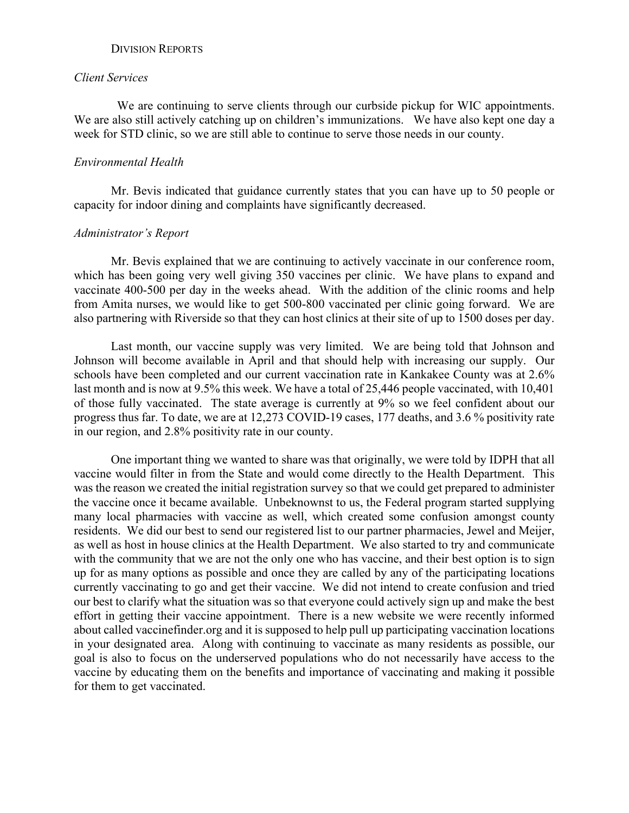## DIVISION REPORTS

### *Client Services*

We are continuing to serve clients through our curbside pickup for WIC appointments. We are also still actively catching up on children's immunizations. We have also kept one day a week for STD clinic, so we are still able to continue to serve those needs in our county.

## *Environmental Health*

Mr. Bevis indicated that guidance currently states that you can have up to 50 people or capacity for indoor dining and complaints have significantly decreased.

## *Administrator's Report*

Mr. Bevis explained that we are continuing to actively vaccinate in our conference room, which has been going very well giving 350 vaccines per clinic. We have plans to expand and vaccinate 400-500 per day in the weeks ahead. With the addition of the clinic rooms and help from Amita nurses, we would like to get 500-800 vaccinated per clinic going forward. We are also partnering with Riverside so that they can host clinics at their site of up to 1500 doses per day.

Last month, our vaccine supply was very limited. We are being told that Johnson and Johnson will become available in April and that should help with increasing our supply. Our schools have been completed and our current vaccination rate in Kankakee County was at 2.6% last month and is now at 9.5% this week. We have a total of 25,446 people vaccinated, with 10,401 of those fully vaccinated. The state average is currently at 9% so we feel confident about our progress thus far. To date, we are at 12,273 COVID-19 cases, 177 deaths, and 3.6 % positivity rate in our region, and 2.8% positivity rate in our county.

One important thing we wanted to share was that originally, we were told by IDPH that all vaccine would filter in from the State and would come directly to the Health Department. This was the reason we created the initial registration survey so that we could get prepared to administer the vaccine once it became available. Unbeknownst to us, the Federal program started supplying many local pharmacies with vaccine as well, which created some confusion amongst county residents. We did our best to send our registered list to our partner pharmacies, Jewel and Meijer, as well as host in house clinics at the Health Department. We also started to try and communicate with the community that we are not the only one who has vaccine, and their best option is to sign up for as many options as possible and once they are called by any of the participating locations currently vaccinating to go and get their vaccine. We did not intend to create confusion and tried our best to clarify what the situation was so that everyone could actively sign up and make the best effort in getting their vaccine appointment. There is a new website we were recently informed about called vaccinefinder.org and it is supposed to help pull up participating vaccination locations in your designated area. Along with continuing to vaccinate as many residents as possible, our goal is also to focus on the underserved populations who do not necessarily have access to the vaccine by educating them on the benefits and importance of vaccinating and making it possible for them to get vaccinated.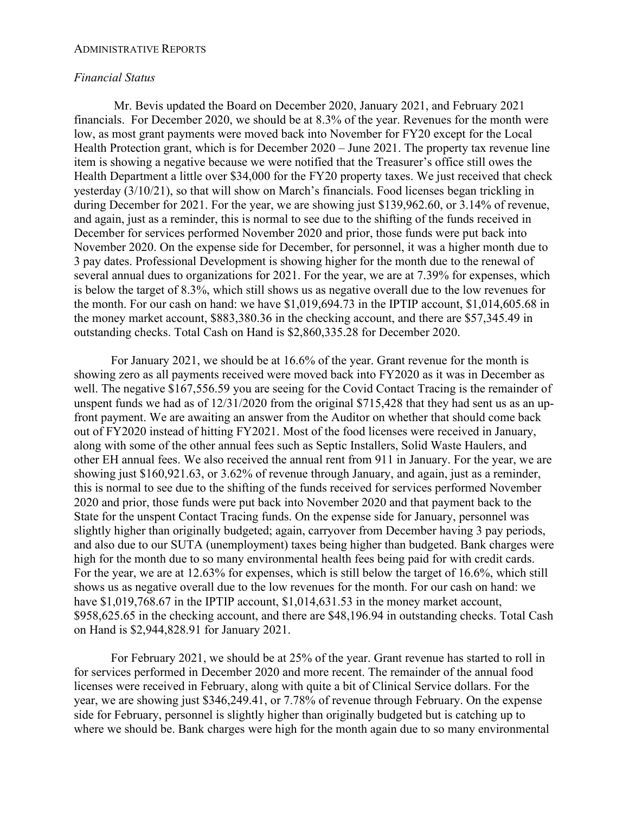#### ADMINISTRATIVE REPORTS

### *Financial Status*

Mr. Bevis updated the Board on December 2020, January 2021, and February 2021 financials. For December 2020, we should be at 8.3% of the year. Revenues for the month were low, as most grant payments were moved back into November for FY20 except for the Local Health Protection grant, which is for December 2020 – June 2021. The property tax revenue line item is showing a negative because we were notified that the Treasurer's office still owes the Health Department a little over \$34,000 for the FY20 property taxes. We just received that check yesterday (3/10/21), so that will show on March's financials. Food licenses began trickling in during December for 2021. For the year, we are showing just \$139,962.60, or 3.14% of revenue, and again, just as a reminder, this is normal to see due to the shifting of the funds received in December for services performed November 2020 and prior, those funds were put back into November 2020. On the expense side for December, for personnel, it was a higher month due to 3 pay dates. Professional Development is showing higher for the month due to the renewal of several annual dues to organizations for 2021. For the year, we are at 7.39% for expenses, which is below the target of 8.3%, which still shows us as negative overall due to the low revenues for the month. For our cash on hand: we have \$1,019,694.73 in the IPTIP account, \$1,014,605.68 in the money market account, \$883,380.36 in the checking account, and there are \$57,345.49 in outstanding checks. Total Cash on Hand is \$2,860,335.28 for December 2020.

For January 2021, we should be at 16.6% of the year. Grant revenue for the month is showing zero as all payments received were moved back into FY2020 as it was in December as well. The negative \$167,556.59 you are seeing for the Covid Contact Tracing is the remainder of unspent funds we had as of 12/31/2020 from the original \$715,428 that they had sent us as an upfront payment. We are awaiting an answer from the Auditor on whether that should come back out of FY2020 instead of hitting FY2021. Most of the food licenses were received in January, along with some of the other annual fees such as Septic Installers, Solid Waste Haulers, and other EH annual fees. We also received the annual rent from 911 in January. For the year, we are showing just \$160,921.63, or 3.62% of revenue through January, and again, just as a reminder, this is normal to see due to the shifting of the funds received for services performed November 2020 and prior, those funds were put back into November 2020 and that payment back to the State for the unspent Contact Tracing funds. On the expense side for January, personnel was slightly higher than originally budgeted; again, carryover from December having 3 pay periods, and also due to our SUTA (unemployment) taxes being higher than budgeted. Bank charges were high for the month due to so many environmental health fees being paid for with credit cards. For the year, we are at 12.63% for expenses, which is still below the target of 16.6%, which still shows us as negative overall due to the low revenues for the month. For our cash on hand: we have \$1,019,768.67 in the IPTIP account, \$1,014,631.53 in the money market account, \$958,625.65 in the checking account, and there are \$48,196.94 in outstanding checks. Total Cash on Hand is \$2,944,828.91 for January 2021.

For February 2021, we should be at 25% of the year. Grant revenue has started to roll in for services performed in December 2020 and more recent. The remainder of the annual food licenses were received in February, along with quite a bit of Clinical Service dollars. For the year, we are showing just \$346,249.41, or 7.78% of revenue through February. On the expense side for February, personnel is slightly higher than originally budgeted but is catching up to where we should be. Bank charges were high for the month again due to so many environmental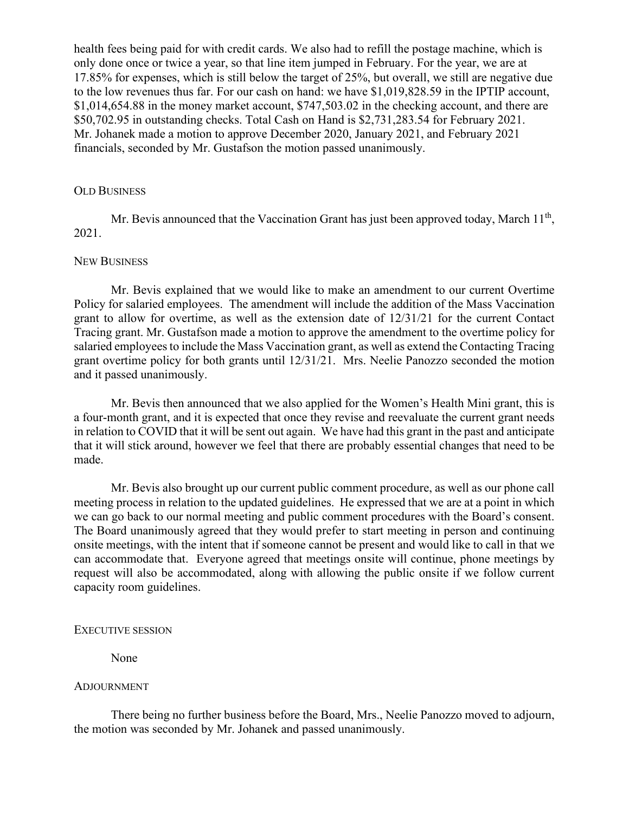health fees being paid for with credit cards. We also had to refill the postage machine, which is only done once or twice a year, so that line item jumped in February. For the year, we are at 17.85% for expenses, which is still below the target of 25%, but overall, we still are negative due to the low revenues thus far. For our cash on hand: we have \$1,019,828.59 in the IPTIP account, \$1,014,654.88 in the money market account, \$747,503.02 in the checking account, and there are \$50,702.95 in outstanding checks. Total Cash on Hand is \$2,731,283.54 for February 2021. Mr. Johanek made a motion to approve December 2020, January 2021, and February 2021 financials, seconded by Mr. Gustafson the motion passed unanimously.

### OLD BUSINESS

Mr. Bevis announced that the Vaccination Grant has just been approved today, March  $11<sup>th</sup>$ , 2021.

### NEW BUSINESS

Mr. Bevis explained that we would like to make an amendment to our current Overtime Policy for salaried employees. The amendment will include the addition of the Mass Vaccination grant to allow for overtime, as well as the extension date of 12/31/21 for the current Contact Tracing grant. Mr. Gustafson made a motion to approve the amendment to the overtime policy for salaried employees to include the Mass Vaccination grant, as well as extend the Contacting Tracing grant overtime policy for both grants until 12/31/21. Mrs. Neelie Panozzo seconded the motion and it passed unanimously.

Mr. Bevis then announced that we also applied for the Women's Health Mini grant, this is a four-month grant, and it is expected that once they revise and reevaluate the current grant needs in relation to COVID that it will be sent out again. We have had this grant in the past and anticipate that it will stick around, however we feel that there are probably essential changes that need to be made.

Mr. Bevis also brought up our current public comment procedure, as well as our phone call meeting process in relation to the updated guidelines. He expressed that we are at a point in which we can go back to our normal meeting and public comment procedures with the Board's consent. The Board unanimously agreed that they would prefer to start meeting in person and continuing onsite meetings, with the intent that if someone cannot be present and would like to call in that we can accommodate that. Everyone agreed that meetings onsite will continue, phone meetings by request will also be accommodated, along with allowing the public onsite if we follow current capacity room guidelines.

#### EXECUTIVE SESSION

None

#### ADJOURNMENT

There being no further business before the Board, Mrs., Neelie Panozzo moved to adjourn, the motion was seconded by Mr. Johanek and passed unanimously.